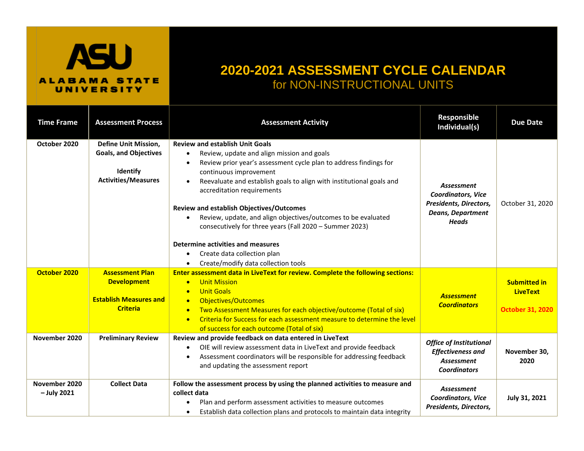## **ASU ALABAMA STATE** UNIVERSITY

## **2020-2021 ASSESSMENT CYCLE CALENDAR** for NON-INSTRUCTIONAL UNITS

| <b>Time Frame</b>              | <b>Assessment Process</b>                                                                                    | <b>Assessment Activity</b>                                                                                                                                                                                                                                                                                                                                                                                                                                                                                                                                                                                                 | Responsible<br>Individual(s)                                                                                  | <b>Due Date</b>                                                   |
|--------------------------------|--------------------------------------------------------------------------------------------------------------|----------------------------------------------------------------------------------------------------------------------------------------------------------------------------------------------------------------------------------------------------------------------------------------------------------------------------------------------------------------------------------------------------------------------------------------------------------------------------------------------------------------------------------------------------------------------------------------------------------------------------|---------------------------------------------------------------------------------------------------------------|-------------------------------------------------------------------|
| October 2020                   | <b>Define Unit Mission,</b><br><b>Goals, and Objectives</b><br><b>Identify</b><br><b>Activities/Measures</b> | <b>Review and establish Unit Goals</b><br>Review, update and align mission and goals<br>Review prior year's assessment cycle plan to address findings for<br>$\bullet$<br>continuous improvement<br>Reevaluate and establish goals to align with institutional goals and<br>$\bullet$<br>accreditation requirements<br><b>Review and establish Objectives/Outcomes</b><br>Review, update, and align objectives/outcomes to be evaluated<br>consecutively for three years (Fall 2020 - Summer 2023)<br>Determine activities and measures<br>Create data collection plan<br>$\bullet$<br>Create/modify data collection tools | <b>Assessment</b><br>Coordinators, Vice<br>Presidents, Directors,<br><b>Deans, Department</b><br><b>Heads</b> | October 31, 2020                                                  |
| October 2020                   | <b>Assessment Plan</b><br><b>Development</b><br><b>Establish Measures and</b><br><b>Criteria</b>             | Enter assessment data in LiveText for review. Complete the following sections:<br><b>Unit Mission</b><br>$\bullet$<br><b>Unit Goals</b><br>$\bullet$<br><b>Objectives/Outcomes</b><br>$\bullet$<br>Two Assessment Measures for each objective/outcome (Total of six)<br>Criteria for Success for each assessment measure to determine the level<br>$\bullet$<br>of success for each outcome (Total of six)                                                                                                                                                                                                                 | <b>Assessment</b><br><b>Coordinators</b>                                                                      | <b>Submitted in</b><br><b>LiveText</b><br><b>October 31, 2020</b> |
| November 2020                  | <b>Preliminary Review</b>                                                                                    | Review and provide feedback on data entered in LiveText<br>OIE will review assessment data in LiveText and provide feedback<br>Assessment coordinators will be responsible for addressing feedback<br>and updating the assessment report                                                                                                                                                                                                                                                                                                                                                                                   | <b>Office of Institutional</b><br><b>Effectiveness and</b><br>Assessment<br><b>Coordinators</b>               | November 30,<br>2020                                              |
| November 2020<br>$-$ July 2021 | <b>Collect Data</b>                                                                                          | Follow the assessment process by using the planned activities to measure and<br>collect data<br>Plan and perform assessment activities to measure outcomes<br>Establish data collection plans and protocols to maintain data integrity                                                                                                                                                                                                                                                                                                                                                                                     | Assessment<br><b>Coordinators, Vice</b><br>Presidents, Directors,                                             | July 31, 2021                                                     |